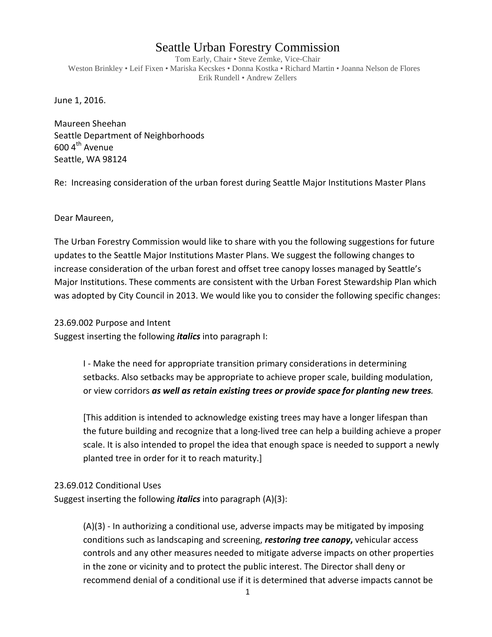## Seattle Urban Forestry Commission

Tom Early, Chair • Steve Zemke, Vice-Chair Weston Brinkley • Leif Fixen • Mariska Kecskes • Donna Kostka • Richard Martin • Joanna Nelson de Flores Erik Rundell • Andrew Zellers

June 1, 2016.

Maureen Sheehan Seattle Department of Neighborhoods  $600$  4<sup>th</sup> Avenue Seattle, WA 98124

Re: Increasing consideration of the urban forest during Seattle Major Institutions Master Plans

Dear Maureen,

The Urban Forestry Commission would like to share with you the following suggestions for future updates to the Seattle Major Institutions Master Plans. We suggest the following changes to increase consideration of the urban forest and offset tree canopy losses managed by Seattle's Major Institutions. These comments are consistent with the Urban Forest Stewardship Plan which was adopted by City Council in 2013. We would like you to consider the following specific changes:

23.69.002 Purpose and Intent

Suggest inserting the following *italics* into paragraph I:

I - Make the need for appropriate transition primary considerations in determining setbacks. Also setbacks may be appropriate to achieve proper scale, building modulation, or view corridors *as well as retain existing trees or provide space for planting new trees.*

[This addition is intended to acknowledge existing trees may have a longer lifespan than the future building and recognize that a long-lived tree can help a building achieve a proper scale. It is also intended to propel the idea that enough space is needed to support a newly planted tree in order for it to reach maturity.]

## 23.69.012 Conditional Uses

Suggest inserting the following *italics* into paragraph (A)(3):

(A)(3) - In authorizing a conditional use, adverse impacts may be mitigated by imposing conditions such as landscaping and screening, *restoring tree canopy***,** vehicular access controls and any other measures needed to mitigate adverse impacts on other properties in the zone or vicinity and to protect the public interest. The Director shall deny or recommend denial of a conditional use if it is determined that adverse impacts cannot be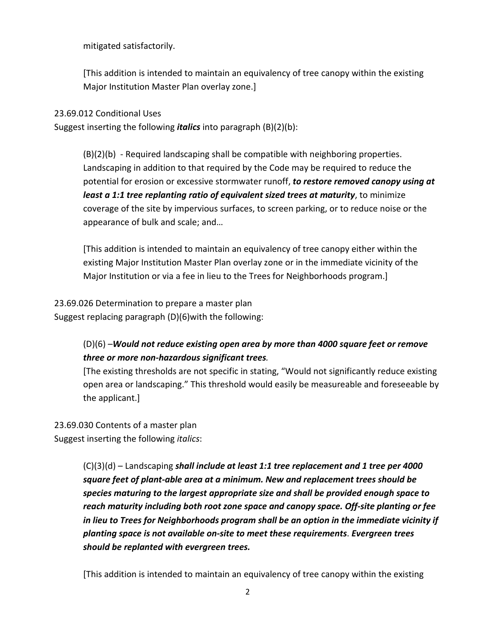mitigated satisfactorily.

[This addition is intended to maintain an equivalency of tree canopy within the existing Major Institution Master Plan overlay zone.]

## 23.69.012 Conditional Uses

Suggest inserting the following *italics* into paragraph (B)(2)(b):

(B)(2)(b) - Required landscaping shall be compatible with neighboring properties. Landscaping in addition to that required by the Code may be required to reduce the potential for erosion or excessive stormwater runoff, *to restore removed canopy using at least a 1:1 tree replanting ratio of equivalent sized trees at maturity*, to minimize coverage of the site by impervious surfaces, to screen parking, or to reduce noise or the appearance of bulk and scale; and…

[This addition is intended to maintain an equivalency of tree canopy either within the existing Major Institution Master Plan overlay zone or in the immediate vicinity of the Major Institution or via a fee in lieu to the Trees for Neighborhoods program.]

23.69.026 Determination to prepare a master plan Suggest replacing paragraph (D)(6)with the following:

## (D)(6) –*Would not reduce existing open area by more than 4000 square feet or remove three or more non-hazardous significant trees.*

[The existing thresholds are not specific in stating, "Would not significantly reduce existing open area or landscaping." This threshold would easily be measureable and foreseeable by the applicant.]

23.69.030 Contents of a master plan Suggest inserting the following *italics*:

> (C)(3)(d) – Landscaping *shall include at least 1:1 tree replacement and 1 tree per 4000 square feet of plant-able area at a minimum. New and replacement trees should be species maturing to the largest appropriate size and shall be provided enough space to reach maturity including both root zone space and canopy space. Off-site planting or fee in lieu to Trees for Neighborhoods program shall be an option in the immediate vicinity if planting space is not available on-site to meet these requirements*. *Evergreen trees should be replanted with evergreen trees.*

[This addition is intended to maintain an equivalency of tree canopy within the existing